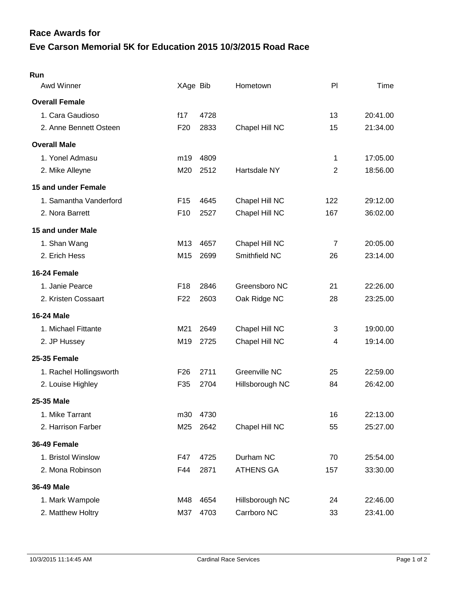## **Eve Carson Memorial 5K for Education 2015 10/3/2015 Road Race Race Awards for**

| Run                     |                 |      |                  |                |          |
|-------------------------|-----------------|------|------------------|----------------|----------|
| Awd Winner              | XAge Bib        |      | Hometown         | PI             | Time     |
| <b>Overall Female</b>   |                 |      |                  |                |          |
| 1. Cara Gaudioso        | f17             | 4728 |                  | 13             | 20:41.00 |
| 2. Anne Bennett Osteen  | F <sub>20</sub> | 2833 | Chapel Hill NC   | 15             | 21:34.00 |
| <b>Overall Male</b>     |                 |      |                  |                |          |
| 1. Yonel Admasu         | m <sub>19</sub> | 4809 |                  | 1              | 17:05.00 |
| 2. Mike Alleyne         | M20             | 2512 | Hartsdale NY     | $\overline{2}$ | 18:56.00 |
| 15 and under Female     |                 |      |                  |                |          |
| 1. Samantha Vanderford  | F <sub>15</sub> | 4645 | Chapel Hill NC   | 122            | 29:12.00 |
| 2. Nora Barrett         | F <sub>10</sub> | 2527 | Chapel Hill NC   | 167            | 36:02.00 |
| 15 and under Male       |                 |      |                  |                |          |
| 1. Shan Wang            | M <sub>13</sub> | 4657 | Chapel Hill NC   | $\overline{7}$ | 20:05.00 |
| 2. Erich Hess           | M <sub>15</sub> | 2699 | Smithfield NC    | 26             | 23:14.00 |
| 16-24 Female            |                 |      |                  |                |          |
| 1. Janie Pearce         | F <sub>18</sub> | 2846 | Greensboro NC    | 21             | 22:26.00 |
| 2. Kristen Cossaart     | F <sub>22</sub> | 2603 | Oak Ridge NC     | 28             | 23:25.00 |
| <b>16-24 Male</b>       |                 |      |                  |                |          |
| 1. Michael Fittante     | M21             | 2649 | Chapel Hill NC   | 3              | 19:00.00 |
| 2. JP Hussey            | M <sub>19</sub> | 2725 | Chapel Hill NC   | 4              | 19:14.00 |
| 25-35 Female            |                 |      |                  |                |          |
| 1. Rachel Hollingsworth | F <sub>26</sub> | 2711 | Greenville NC    | 25             | 22:59.00 |
| 2. Louise Highley       | F35             | 2704 | Hillsborough NC  | 84             | 26:42.00 |
| 25-35 Male              |                 |      |                  |                |          |
| 1. Mike Tarrant         | m30             | 4730 |                  | 16             | 22:13.00 |
| 2. Harrison Farber      | M25             | 2642 | Chapel Hill NC   | 55             | 25:27.00 |
| 36-49 Female            |                 |      |                  |                |          |
| 1. Bristol Winslow      | F47             | 4725 | Durham NC        | 70             | 25:54.00 |
| 2. Mona Robinson        | F44             | 2871 | <b>ATHENS GA</b> | 157            | 33:30.00 |
| 36-49 Male              |                 |      |                  |                |          |
| 1. Mark Wampole         | M48             | 4654 | Hillsborough NC  | 24             | 22:46.00 |
| 2. Matthew Holtry       | M37             | 4703 | Carrboro NC      | 33             | 23:41.00 |